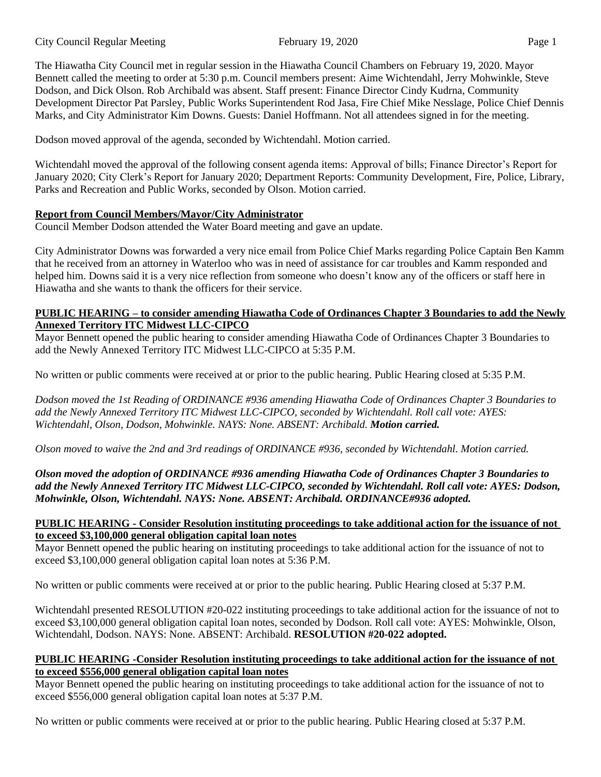The Hiawatha City Council met in regular session in the Hiawatha Council Chambers on February 19, 2020. Mayor Bennett called the meeting to order at 5:30 p.m. Council members present: Aime Wichtendahl, Jerry Mohwinkle, Steve Dodson, and Dick Olson. Rob Archibald was absent. Staff present: Finance Director Cindy Kudrna, Community Development Director Pat Parsley, Public Works Superintendent Rod Jasa, Fire Chief Mike Nesslage, Police Chief Dennis Marks, and City Administrator Kim Downs. Guests: Daniel Hoffmann. Not all attendees signed in for the meeting.

Dodson moved approval of the agenda, seconded by Wichtendahl. Motion carried.

Wichtendahl moved the approval of the following consent agenda items: Approval of bills; Finance Director's Report for January 2020; City Clerk's Report for January 2020; Department Reports: Community Development, Fire, Police, Library, Parks and Recreation and Public Works, seconded by Olson. Motion carried.

### **Report from Council Members/Mayor/City Administrator**

Council Member Dodson attended the Water Board meeting and gave an update.

City Administrator Downs was forwarded a very nice email from Police Chief Marks regarding Police Captain Ben Kamm that he received from an attorney in Waterloo who was in need of assistance for car troubles and Kamm responded and helped him. Downs said it is a very nice reflection from someone who doesn't know any of the officers or staff here in Hiawatha and she wants to thank the officers for their service.

#### **PUBLIC HEARING – to consider amending Hiawatha Code of Ordinances Chapter 3 Boundaries to add the Newly Annexed Territory ITC Midwest LLC-CIPCO**

Mayor Bennett opened the public hearing to consider amending Hiawatha Code of Ordinances Chapter 3 Boundaries to add the Newly Annexed Territory ITC Midwest LLC-CIPCO at 5:35 P.M.

No written or public comments were received at or prior to the public hearing. Public Hearing closed at 5:35 P.M.

*Dodson moved the 1st Reading of ORDINANCE #936 amending Hiawatha Code of Ordinances Chapter 3 Boundaries to add the Newly Annexed Territory ITC Midwest LLC-CIPCO, seconded by Wichtendahl. Roll call vote: AYES: Wichtendahl, Olson, Dodson, Mohwinkle. NAYS: None. ABSENT: Archibald. Motion carried.*

*Olson moved to waive the 2nd and 3rd readings of ORDINANCE #936, seconded by Wichtendahl. Motion carried.*

### *Olson moved the adoption of ORDINANCE #936 amending Hiawatha Code of Ordinances Chapter 3 Boundaries to add the Newly Annexed Territory ITC Midwest LLC-CIPCO, seconded by Wichtendahl. Roll call vote: AYES: Dodson, Mohwinkle, Olson, Wichtendahl. NAYS: None. ABSENT: Archibald. ORDINANCE#936 adopted.*

### **PUBLIC HEARING - Consider Resolution instituting proceedings to take additional action for the issuance of not to exceed \$3,100,000 general obligation capital loan notes**

Mayor Bennett opened the public hearing on instituting proceedings to take additional action for the issuance of not to exceed \$3,100,000 general obligation capital loan notes at 5:36 P.M.

No written or public comments were received at or prior to the public hearing. Public Hearing closed at 5:37 P.M.

Wichtendahl presented RESOLUTION #20-022 instituting proceedings to take additional action for the issuance of not to exceed \$3,100,000 general obligation capital loan notes, seconded by Dodson. Roll call vote: AYES: Mohwinkle, Olson, Wichtendahl, Dodson. NAYS: None. ABSENT: Archibald. **RESOLUTION #20-022 adopted.**

### **PUBLIC HEARING -Consider Resolution instituting proceedings to take additional action for the issuance of not to exceed \$556,000 general obligation capital loan notes**

Mayor Bennett opened the public hearing on instituting proceedings to take additional action for the issuance of not to exceed \$556,000 general obligation capital loan notes at 5:37 P.M.

No written or public comments were received at or prior to the public hearing. Public Hearing closed at 5:37 P.M.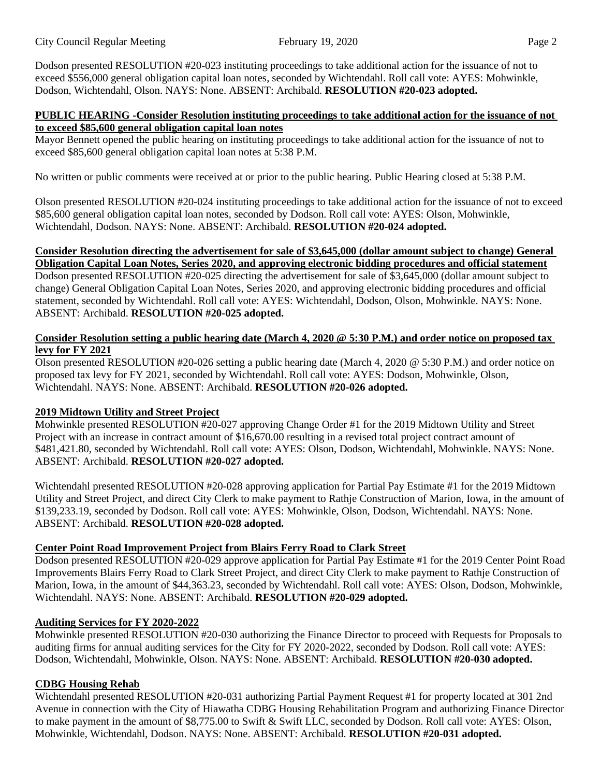Dodson presented RESOLUTION #20-023 instituting proceedings to take additional action for the issuance of not to exceed \$556,000 general obligation capital loan notes, seconded by Wichtendahl. Roll call vote: AYES: Mohwinkle, Dodson, Wichtendahl, Olson. NAYS: None. ABSENT: Archibald. **RESOLUTION #20-023 adopted.** 

#### **PUBLIC HEARING -Consider Resolution instituting proceedings to take additional action for the issuance of not to exceed \$85,600 general obligation capital loan notes**

Mayor Bennett opened the public hearing on instituting proceedings to take additional action for the issuance of not to exceed \$85,600 general obligation capital loan notes at 5:38 P.M.

No written or public comments were received at or prior to the public hearing. Public Hearing closed at 5:38 P.M.

Olson presented RESOLUTION #20-024 instituting proceedings to take additional action for the issuance of not to exceed \$85,600 general obligation capital loan notes, seconded by Dodson. Roll call vote: AYES: Olson, Mohwinkle, Wichtendahl, Dodson. NAYS: None. ABSENT: Archibald. **RESOLUTION #20-024 adopted.**

### **Consider Resolution directing the advertisement for sale of \$3,645,000 (dollar amount subject to change) General Obligation Capital Loan Notes, Series 2020, and approving electronic bidding procedures and official statement**

Dodson presented RESOLUTION #20-025 directing the advertisement for sale of \$3,645,000 (dollar amount subject to change) General Obligation Capital Loan Notes, Series 2020, and approving electronic bidding procedures and official statement, seconded by Wichtendahl. Roll call vote: AYES: Wichtendahl, Dodson, Olson, Mohwinkle. NAYS: None. ABSENT: Archibald. **RESOLUTION #20-025 adopted.** 

### **Consider Resolution setting a public hearing date (March 4, 2020 @ 5:30 P.M.) and order notice on proposed tax levy for FY 2021**

Olson presented RESOLUTION #20-026 setting a public hearing date (March 4, 2020 @ 5:30 P.M.) and order notice on proposed tax levy for FY 2021, seconded by Wichtendahl. Roll call vote: AYES: Dodson, Mohwinkle, Olson, Wichtendahl. NAYS: None. ABSENT: Archibald. **RESOLUTION #20-026 adopted.** 

## **2019 Midtown Utility and Street Project**

Mohwinkle presented RESOLUTION #20-027 approving Change Order #1 for the 2019 Midtown Utility and Street Project with an increase in contract amount of \$16,670.00 resulting in a revised total project contract amount of \$481,421.80, seconded by Wichtendahl. Roll call vote: AYES: Olson, Dodson, Wichtendahl, Mohwinkle. NAYS: None. ABSENT: Archibald. **RESOLUTION #20-027 adopted.** 

Wichtendahl presented RESOLUTION #20-028 approving application for Partial Pay Estimate #1 for the 2019 Midtown Utility and Street Project, and direct City Clerk to make payment to Rathje Construction of Marion, Iowa, in the amount of \$139,233.19, seconded by Dodson. Roll call vote: AYES: Mohwinkle, Olson, Dodson, Wichtendahl. NAYS: None. ABSENT: Archibald. **RESOLUTION #20-028 adopted.**

## **Center Point Road Improvement Project from Blairs Ferry Road to Clark Street**

Dodson presented RESOLUTION #20-029 approve application for Partial Pay Estimate #1 for the 2019 Center Point Road Improvements Blairs Ferry Road to Clark Street Project, and direct City Clerk to make payment to Rathje Construction of Marion, Iowa, in the amount of \$44,363.23, seconded by Wichtendahl. Roll call vote: AYES: Olson, Dodson, Mohwinkle, Wichtendahl. NAYS: None. ABSENT: Archibald. **RESOLUTION #20-029 adopted.** 

## **Auditing Services for FY 2020-2022**

Mohwinkle presented RESOLUTION #20-030 authorizing the Finance Director to proceed with Requests for Proposals to auditing firms for annual auditing services for the City for FY 2020-2022, seconded by Dodson. Roll call vote: AYES: Dodson, Wichtendahl, Mohwinkle, Olson. NAYS: None. ABSENT: Archibald. **RESOLUTION #20-030 adopted.** 

# **CDBG Housing Rehab**

Wichtendahl presented RESOLUTION #20-031 authorizing Partial Payment Request #1 for property located at 301 2nd Avenue in connection with the City of Hiawatha CDBG Housing Rehabilitation Program and authorizing Finance Director to make payment in the amount of \$8,775.00 to Swift & Swift LLC, seconded by Dodson. Roll call vote: AYES: Olson, Mohwinkle, Wichtendahl, Dodson. NAYS: None. ABSENT: Archibald. **RESOLUTION #20-031 adopted.**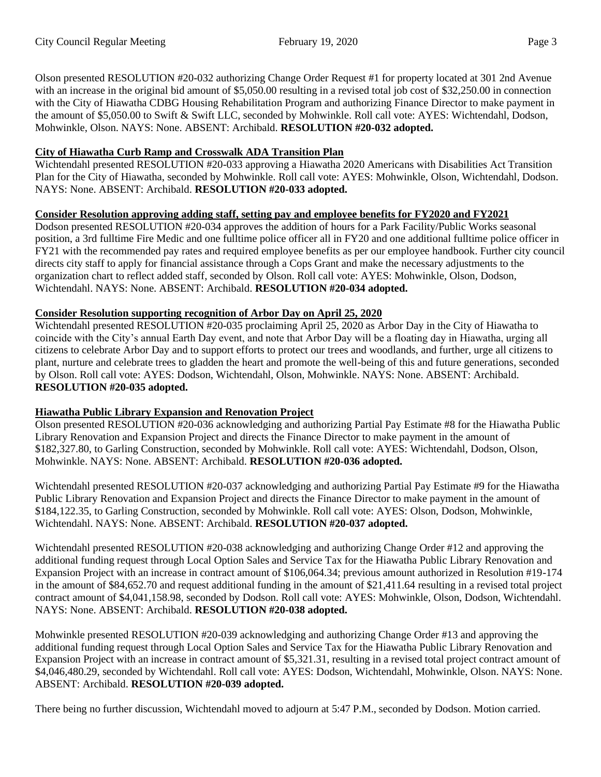Olson presented RESOLUTION #20-032 authorizing Change Order Request #1 for property located at 301 2nd Avenue with an increase in the original bid amount of \$5,050.00 resulting in a revised total job cost of \$32,250.00 in connection with the City of Hiawatha CDBG Housing Rehabilitation Program and authorizing Finance Director to make payment in the amount of \$5,050.00 to Swift & Swift LLC, seconded by Mohwinkle. Roll call vote: AYES: Wichtendahl, Dodson, Mohwinkle, Olson. NAYS: None. ABSENT: Archibald. **RESOLUTION #20-032 adopted.**

### **City of Hiawatha Curb Ramp and Crosswalk ADA Transition Plan**

Wichtendahl presented RESOLUTION #20-033 approving a Hiawatha 2020 Americans with Disabilities Act Transition Plan for the City of Hiawatha, seconded by Mohwinkle. Roll call vote: AYES: Mohwinkle, Olson, Wichtendahl, Dodson. NAYS: None. ABSENT: Archibald. **RESOLUTION #20-033 adopted.**

## **Consider Resolution approving adding staff, setting pay and employee benefits for FY2020 and FY2021**

Dodson presented RESOLUTION #20-034 approves the addition of hours for a Park Facility/Public Works seasonal position, a 3rd fulltime Fire Medic and one fulltime police officer all in FY20 and one additional fulltime police officer in FY21 with the recommended pay rates and required employee benefits as per our employee handbook. Further city council directs city staff to apply for financial assistance through a Cops Grant and make the necessary adjustments to the organization chart to reflect added staff, seconded by Olson. Roll call vote: AYES: Mohwinkle, Olson, Dodson, Wichtendahl. NAYS: None. ABSENT: Archibald. **RESOLUTION #20-034 adopted.**

## **Consider Resolution supporting recognition of Arbor Day on April 25, 2020**

Wichtendahl presented RESOLUTION #20-035 proclaiming April 25, 2020 as Arbor Day in the City of Hiawatha to coincide with the City's annual Earth Day event, and note that Arbor Day will be a floating day in Hiawatha, urging all citizens to celebrate Arbor Day and to support efforts to protect our trees and woodlands, and further, urge all citizens to plant, nurture and celebrate trees to gladden the heart and promote the well-being of this and future generations, seconded by Olson. Roll call vote: AYES: Dodson, Wichtendahl, Olson, Mohwinkle. NAYS: None. ABSENT: Archibald. **RESOLUTION #20-035 adopted.**

## **Hiawatha Public Library Expansion and Renovation Project**

Olson presented RESOLUTION #20-036 acknowledging and authorizing Partial Pay Estimate #8 for the Hiawatha Public Library Renovation and Expansion Project and directs the Finance Director to make payment in the amount of \$182,327.80, to Garling Construction, seconded by Mohwinkle. Roll call vote: AYES: Wichtendahl, Dodson, Olson, Mohwinkle. NAYS: None. ABSENT: Archibald. **RESOLUTION #20-036 adopted.**

Wichtendahl presented RESOLUTION #20-037 acknowledging and authorizing Partial Pay Estimate #9 for the Hiawatha Public Library Renovation and Expansion Project and directs the Finance Director to make payment in the amount of \$184,122.35, to Garling Construction, seconded by Mohwinkle. Roll call vote: AYES: Olson, Dodson, Mohwinkle, Wichtendahl. NAYS: None. ABSENT: Archibald. **RESOLUTION #20-037 adopted.**

Wichtendahl presented RESOLUTION #20-038 acknowledging and authorizing Change Order #12 and approving the additional funding request through Local Option Sales and Service Tax for the Hiawatha Public Library Renovation and Expansion Project with an increase in contract amount of \$106,064.34; previous amount authorized in Resolution #19-174 in the amount of \$84,652.70 and request additional funding in the amount of \$21,411.64 resulting in a revised total project contract amount of \$4,041,158.98, seconded by Dodson. Roll call vote: AYES: Mohwinkle, Olson, Dodson, Wichtendahl. NAYS: None. ABSENT: Archibald. **RESOLUTION #20-038 adopted.**

Mohwinkle presented RESOLUTION #20-039 acknowledging and authorizing Change Order #13 and approving the additional funding request through Local Option Sales and Service Tax for the Hiawatha Public Library Renovation and Expansion Project with an increase in contract amount of \$5,321.31, resulting in a revised total project contract amount of \$4,046,480.29, seconded by Wichtendahl. Roll call vote: AYES: Dodson, Wichtendahl, Mohwinkle, Olson. NAYS: None. ABSENT: Archibald. **RESOLUTION #20-039 adopted.**

There being no further discussion, Wichtendahl moved to adjourn at 5:47 P.M., seconded by Dodson. Motion carried.